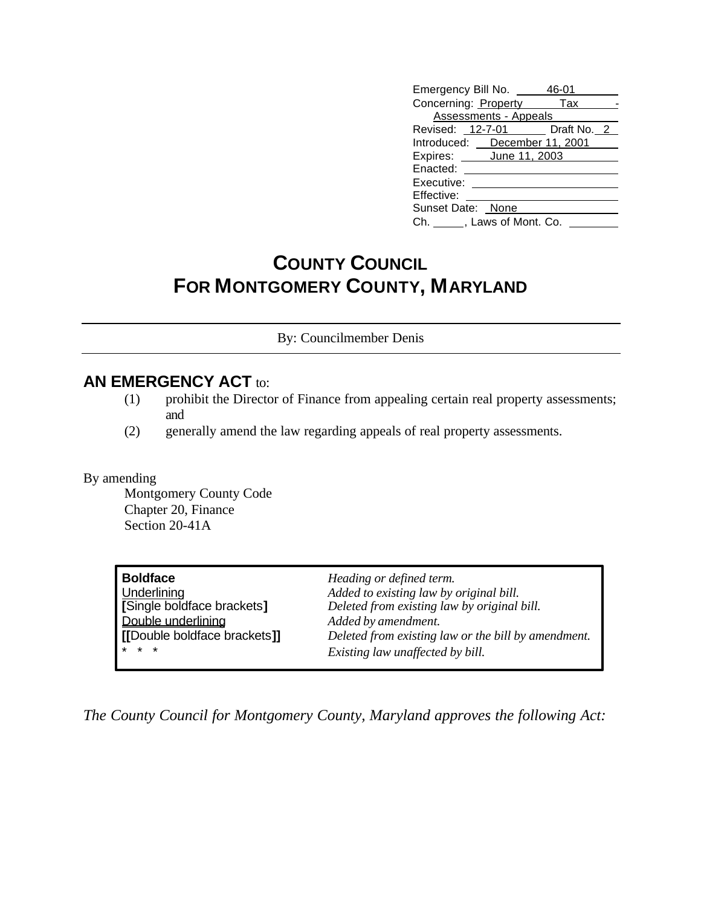| Emergency Bill No. 46-01      |  |
|-------------------------------|--|
| Concerning: Property Tax      |  |
| <b>Assessments - Appeals</b>  |  |
| Revised: 12-7-01 Draft No. 2  |  |
| Introduced: December 11, 2001 |  |
| Expires: <b>June 11, 2003</b> |  |
| Enacted:                      |  |
| Executive:                    |  |
| Effective:                    |  |
| Sunset Date: None             |  |
| Ch. , Laws of Mont. Co.       |  |
|                               |  |

## **COUNTY COUNCIL FOR MONTGOMERY COUNTY, MARYLAND**

By: Councilmember Denis

## **AN EMERGENCY ACT to:**

- (1) prohibit the Director of Finance from appealing certain real property assessments; and
- (2) generally amend the law regarding appeals of real property assessments.

By amending

Montgomery County Code Chapter 20, Finance Section 20-41A

| <b>Boldface</b>              | Heading or defined term.                            |
|------------------------------|-----------------------------------------------------|
| Underlining                  | Added to existing law by original bill.             |
| [Single boldface brackets]   | Deleted from existing law by original bill.         |
| Double underlining           | Added by amendment.                                 |
| [[Double boldface brackets]] | Deleted from existing law or the bill by amendment. |
| $* * *$                      | Existing law unaffected by bill.                    |

*The County Council for Montgomery County, Maryland approves the following Act:*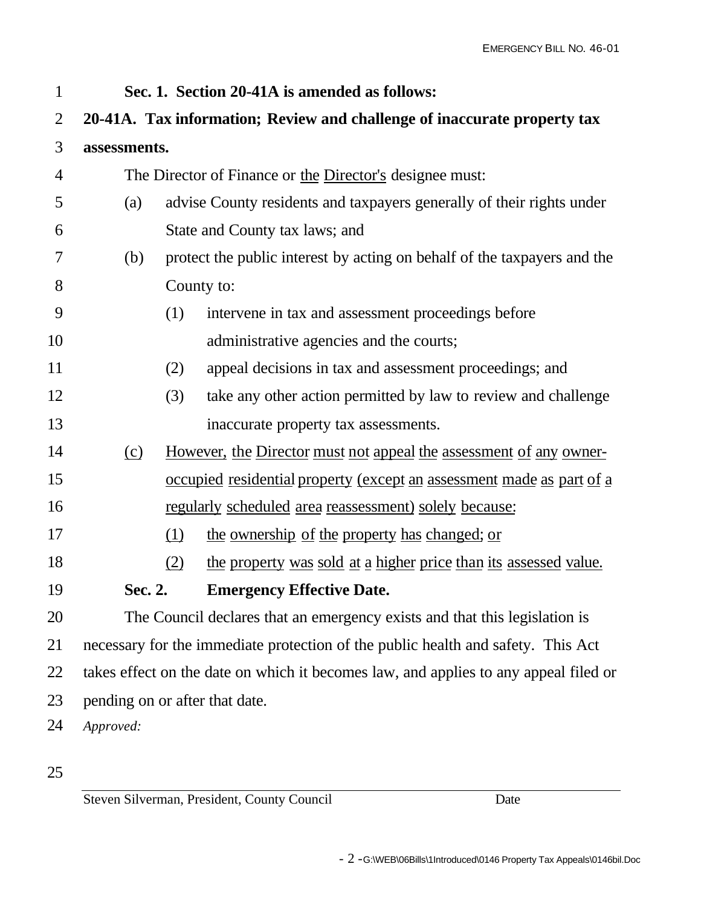| $\mathbf{1}$ |                                                                                      | Sec. 1. Section 20-41A is amended as follows:                                |  |
|--------------|--------------------------------------------------------------------------------------|------------------------------------------------------------------------------|--|
| 2            |                                                                                      | 20-41A. Tax information; Review and challenge of inaccurate property tax     |  |
| 3            | assessments.                                                                         |                                                                              |  |
| 4            |                                                                                      | The Director of Finance or the Director's designee must:                     |  |
| 5            | (a)                                                                                  | advise County residents and taxpayers generally of their rights under        |  |
| 6            |                                                                                      | State and County tax laws; and                                               |  |
| 7            | (b)                                                                                  | protect the public interest by acting on behalf of the taxpayers and the     |  |
| 8            |                                                                                      | County to:                                                                   |  |
| 9            | (1)                                                                                  | intervene in tax and assessment proceedings before                           |  |
| 10           |                                                                                      | administrative agencies and the courts;                                      |  |
| 11           | (2)                                                                                  | appeal decisions in tax and assessment proceedings; and                      |  |
| 12           | (3)                                                                                  | take any other action permitted by law to review and challenge               |  |
| 13           |                                                                                      | inaccurate property tax assessments.                                         |  |
| 14           | (c)                                                                                  | <u>However, the Director must not appeal the assessment of any owner-</u>    |  |
| 15           |                                                                                      | <u>occupied residential property (except an assessment made as part of a</u> |  |
| 16           |                                                                                      | <u>regularly scheduled area reassessment) solely because:</u>                |  |
| 17           | (1)                                                                                  | the ownership of the property has changed; or                                |  |
| 18           | (2)                                                                                  | the property was sold at a higher price than its assessed value.             |  |
| 19           | Sec. 2.                                                                              | <b>Emergency Effective Date.</b>                                             |  |
| 20           |                                                                                      | The Council declares that an emergency exists and that this legislation is   |  |
| 21           | necessary for the immediate protection of the public health and safety. This Act     |                                                                              |  |
| 22           | takes effect on the date on which it becomes law, and applies to any appeal filed or |                                                                              |  |
| 23           | pending on or after that date.                                                       |                                                                              |  |
| 24           | Approved:                                                                            |                                                                              |  |
|              |                                                                                      |                                                                              |  |